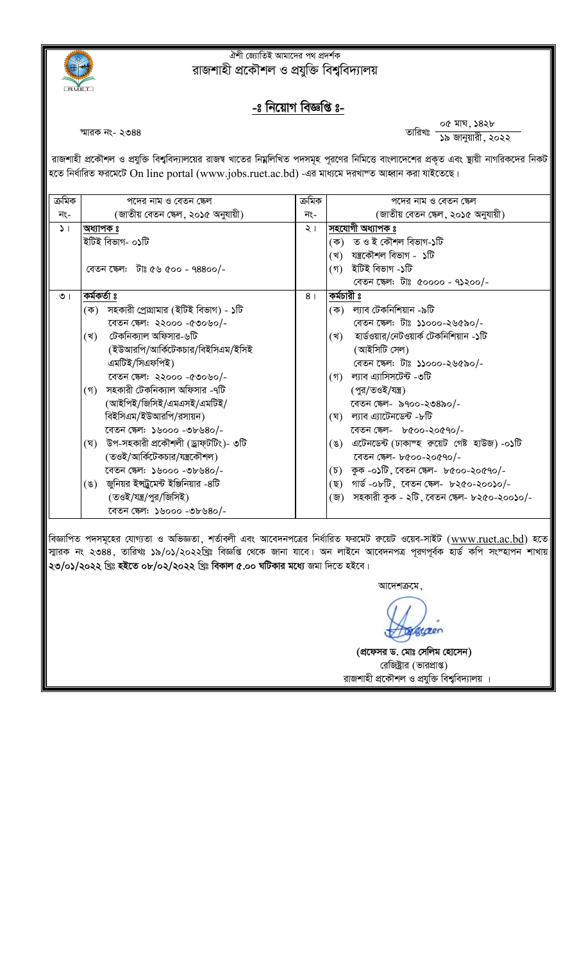

## <u>ঐশী জ্যোতিই আমাদের পথ প্রদর্শক</u> রাজশাহী প্রকৌশল ও প্রযুক্তি বিশুবিদ্যালয়

## <u>-ঃ নিয়োগ বিজ্ঞপ্তি ঃ-</u>

স্মারক নং- ২৩৪৪<br>স্মারক নং- ২৩৪৪ বিজয় সংক্রম বিজয় সংক্রম বিজয় সংক্রম বিজয় সংক্রম বিজয় সংক্রম বিজয় সংক্রম বিজয় সংক্রম বিজ<br>বিজয় সংক্রম বিজয় সংক্রম বিজয় সংক্রম বিজয় সংক্রম বিজয় সংক্রম বিজয় সংক্রম বিজয় সংক্রম বি

রাজশাহী প্রকৌশল ও প্রযুক্তি বিশ্ববিদ্যালয়ের রাজশ্ব খাতের নিম্নলিখিত পদসমূহ পূরণের নিমিত্তে বাংলাদেশের প্রকৃত এবং ছায়ী নাগরিকদের নিকট হতে নির্ধারিত ফরমেটে On line portal (www.jobs.ruet.ac.bd) -এর মাধ্যমে দরখাস্ত আহ্বান করা যাইতেছে।

| পদের নাম ও বেতন স্কেল                     |                                                                                                                                                                                                                                                                                                  | পদের নাম ও বেতন স্কেল                            |
|-------------------------------------------|--------------------------------------------------------------------------------------------------------------------------------------------------------------------------------------------------------------------------------------------------------------------------------------------------|--------------------------------------------------|
| (জাতীয় বেতন ক্ষেল, ২০১৫ অনুযায়ী)        | নং-                                                                                                                                                                                                                                                                                              | (জাতীয় বেতন ক্ষেল, ২০১৫ অনুযায়ী)               |
| অধ্যাপক ঃ                                 | $\lambda$                                                                                                                                                                                                                                                                                        | সহযোগী অধ্যাপক ঃ                                 |
| ইটিই বিভাগ- ০১টি                          |                                                                                                                                                                                                                                                                                                  | (ক) তত ও ই কৌশল বিভাগ-১টি                        |
|                                           |                                                                                                                                                                                                                                                                                                  | (খ) যন্ত্ৰকৌশল বিভাগ - ১টি                       |
| বেতন ক্ষেল: টাঃ ৫৬ ৫০০ - ৭৪৪০০/-          |                                                                                                                                                                                                                                                                                                  | (গ) ইটিই বিভাগ -১টি                              |
|                                           |                                                                                                                                                                                                                                                                                                  | বেতন ক্ষেল: টাঃ ৫০০০০ - ৭১২০০/-                  |
| কৰ্মকৰ্তা ঃ                               | 8 <sub>1</sub>                                                                                                                                                                                                                                                                                   | কৰ্মচারী ঃ                                       |
| (ক) সহকারী প্রোগ্রামার (ইটিই বিভাগ) - ১টি |                                                                                                                                                                                                                                                                                                  | (ক) ল্যাব টেকনিশিয়ান -৯টি                       |
| বেতন ক্ষেল: ২২০০০ -৫৩০৬০/-                |                                                                                                                                                                                                                                                                                                  | বেতন ক্ষেল: টাঃ ১১০০০-২৬৫৯০/-                    |
| টেকনিক্যাল অফিসার-৬টি<br>(খ)              |                                                                                                                                                                                                                                                                                                  | হার্ডওয়ার/নেটওয়ার্ক টেকনিশিয়ান -১টি<br>(খ)    |
|                                           |                                                                                                                                                                                                                                                                                                  | (আইসিটি সেল)                                     |
|                                           |                                                                                                                                                                                                                                                                                                  | বেতন ক্ষেল: টাঃ ১১০০০-২৬৫৯০/-                    |
|                                           |                                                                                                                                                                                                                                                                                                  | (গ) ল্যাব এ্যাসিসটেন্ট -৩টি                      |
| (গ) সহকারী টেকনিক্যাল অফিসার -৭টি         |                                                                                                                                                                                                                                                                                                  | (পুর/তওই/যন্ত্র)                                 |
| (আইপিই/জিসিই/এমএসই/এমটিই/                 |                                                                                                                                                                                                                                                                                                  | বেতন ক্ষেল- ৯৭০০-২৩৪৯০/-                         |
| বিইসিএম/ইউআরপি/রসায়ন)                    |                                                                                                                                                                                                                                                                                                  | (ঘ) ল্যাব এ্যাটেনডেন্ট -৮টি                      |
|                                           |                                                                                                                                                                                                                                                                                                  | বেতন ক্ষেল- ৮৫০০-২০৫৭০/-                         |
|                                           |                                                                                                                                                                                                                                                                                                  | (ঙ) এটেনডেন্ট (ঢাকাস্হ রুয়েট গেষ্ট হাউজ) -০১টি  |
|                                           |                                                                                                                                                                                                                                                                                                  | বেতন ফেল- ৮৫০০-২০৫৭০/-                           |
|                                           |                                                                                                                                                                                                                                                                                                  | (চ) কুক -০১টি, বেতন স্কেল- ৮৫০০-২০৫৭০/-          |
|                                           |                                                                                                                                                                                                                                                                                                  | (ছ)   গাৰ্ড -০৮টি, বেতন ক্ষেল-  ৮২৫০-২০০১০/-     |
|                                           |                                                                                                                                                                                                                                                                                                  | (জ)   সহকারী কুক - ২টি ,বেতন ক্ষেল- ৮২৫০-২০০১০/- |
| রেতন স্কেল: ১৬০০০ -৩৮৬৪০/-                |                                                                                                                                                                                                                                                                                                  |                                                  |
|                                           | (ইউআরপি/আর্কিটেকচার/বিইসিএম/ইসিই<br>এমটিই/সিএফপিই)<br>বেতন ক্ষেল: ২২০০০ -৫৩০৬০/-<br>বেতন ক্ষেল: ১৬০০০ -৩৮৬৪০/-<br>(ঘ) উপ-সহকারী প্রকৌশলী (ড্রাফ্টটিং)- ৩টি<br>(তওই/আর্কিটেকচার/যন্ত্রকৌশল)<br>বেতন ক্ষেল: ১৬০০০ -৩৮৬৪০/-<br>(ঙ) জুনিয়র ইন্সট্রুমেন্ট ইঞ্জিনিয়ার -৪টি<br>(তওই/যন্ত্র/পুর/জিসিই) | ক্ৰমিক                                           |

বিজ্ঞাপিত পদসমূহের যোগ্যতা ও অভিজ্ঞতা, শর্তাবলী এবং আবেদনপত্রের নির্ধারিত ফরমেট রুয়েট ওয়েব-সাইট (<u>www.ruet.ac.bd</u>) হতে স্মারক নং ২৩৪৪, তারিখঃ ১৯/০১/২০২২খ্রিঃ বিজ্ঞপ্তি থেকে জানা যাবে। অন লাইনে আবেদনপত্র পূরণপূর্বক হার্ড কপি সংস্হাপন শাখায়<mark>।</mark> ২৩/০১/২০২২ খ্ৰিঃ **হইতে ০৮/০২/২০২২** খ্ৰিঃ বিকাল ৫.০০ ঘটিকার মধ্যে জমা দিতে হইবে।

আদেশক্রমে $,$ 

esper

(প্ৰফেসর ড. মোঃ সেলিম হোসেন) রেজিষ্ট্রার (ভারপ্রাপ্ত) রাজশাহী প্রকৌশল ও প্রযুক্তি বিশ্ববিদ্যালয় ।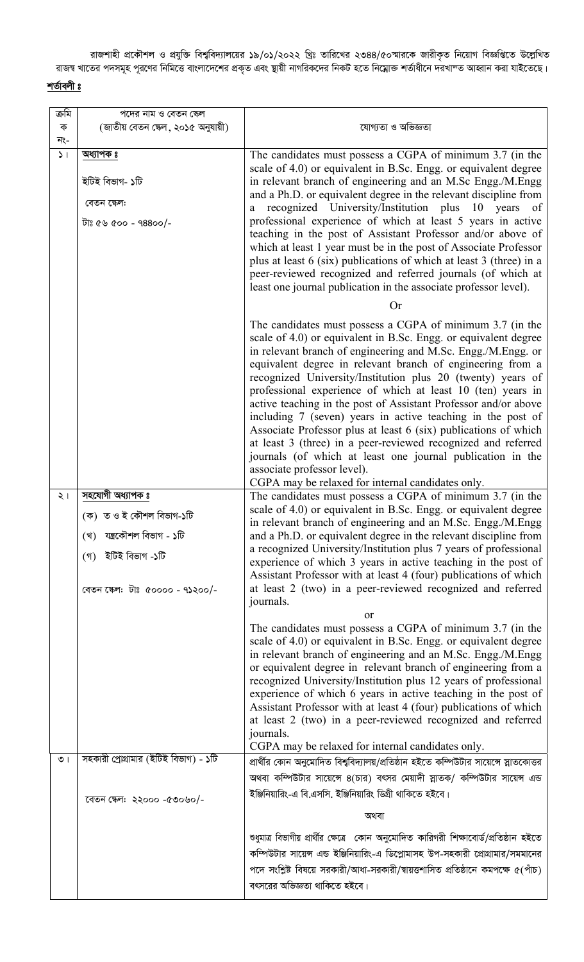রাজশাহী প্রকৌশল ও প্রযুক্তি বিশ্ববিদ্যালয়ের ১৯/০১/২০২২ খ্রিঃ তারিখের ২৩৪৪/৫০স্মারকে জারীকৃত নিয়োগ বিজ্ঞপ্তিতে উল্লেখিত<br>রাজষ খাতের পদসমূহ পূরণের নিমিত্তে বাংলাদেশের প্রকৃত এবং ছায়ী নাগরিকদের নিকট হতে নিম্নোক্ত শর্তাধীন

## <u>শর্তাবলী ঃ</u>

| ক্ৰমি         | পদের নাম ও বেতন ক্ষেল                                  |                                                                                                                                                                                                                                                                                                                                                                                                                                                                                                                                                                                                                                                                                                                              |
|---------------|--------------------------------------------------------|------------------------------------------------------------------------------------------------------------------------------------------------------------------------------------------------------------------------------------------------------------------------------------------------------------------------------------------------------------------------------------------------------------------------------------------------------------------------------------------------------------------------------------------------------------------------------------------------------------------------------------------------------------------------------------------------------------------------------|
| ক<br>নং-      | (জাতীয় বেতন ষ্কেল, ২০১৫ অনুযায়ী)                     | যোগ্যতা ও অভিজ্ঞতা                                                                                                                                                                                                                                                                                                                                                                                                                                                                                                                                                                                                                                                                                                           |
| $\mathcal{L}$ | <u>অধ্যাপক ঃ</u>                                       | The candidates must possess a CGPA of minimum 3.7 (in the<br>scale of 4.0) or equivalent in B.Sc. Engg. or equivalent degree                                                                                                                                                                                                                                                                                                                                                                                                                                                                                                                                                                                                 |
|               | ইটিই বিভাগ- ১টি                                        | in relevant branch of engineering and an M.Sc Engg./M.Engg<br>and a Ph.D. or equivalent degree in the relevant discipline from                                                                                                                                                                                                                                                                                                                                                                                                                                                                                                                                                                                               |
|               | বেতন ক্ষেল:                                            | recognized University/Institution plus 10 years of<br>a                                                                                                                                                                                                                                                                                                                                                                                                                                                                                                                                                                                                                                                                      |
|               | -\০০৪৪৮ - ০০৫ ৫৫ গৰ্ট                                  | professional experience of which at least 5 years in active<br>teaching in the post of Assistant Professor and/or above of<br>which at least 1 year must be in the post of Associate Professor<br>plus at least 6 (six) publications of which at least 3 (three) in a                                                                                                                                                                                                                                                                                                                                                                                                                                                        |
|               |                                                        | peer-reviewed recognized and referred journals (of which at<br>least one journal publication in the associate professor level).                                                                                                                                                                                                                                                                                                                                                                                                                                                                                                                                                                                              |
|               |                                                        | <b>Or</b>                                                                                                                                                                                                                                                                                                                                                                                                                                                                                                                                                                                                                                                                                                                    |
|               |                                                        | The candidates must possess a CGPA of minimum 3.7 (in the<br>scale of 4.0) or equivalent in B.Sc. Engg. or equivalent degree<br>in relevant branch of engineering and M.Sc. Engg./M.Engg. or<br>equivalent degree in relevant branch of engineering from a<br>recognized University/Institution plus 20 (twenty) years of<br>professional experience of which at least 10 (ten) years in<br>active teaching in the post of Assistant Professor and/or above<br>including 7 (seven) years in active teaching in the post of<br>Associate Professor plus at least 6 (six) publications of which<br>at least 3 (three) in a peer-reviewed recognized and referred<br>journals (of which at least one journal publication in the |
|               |                                                        | associate professor level).                                                                                                                                                                                                                                                                                                                                                                                                                                                                                                                                                                                                                                                                                                  |
| $\frac{1}{2}$ | সহযোগী অধ্যাপক ঃ                                       | CGPA may be relaxed for internal candidates only.<br>The candidates must possess a CGPA of minimum 3.7 (in the                                                                                                                                                                                                                                                                                                                                                                                                                                                                                                                                                                                                               |
|               | (ক) ত ও ই কৌশল বিভাগ-১টি<br>(খ) যন্ত্ৰকৌশল বিভাগ - ১টি | scale of 4.0) or equivalent in B.Sc. Engg. or equivalent degree<br>in relevant branch of engineering and an M.Sc. Engg./M.Engg<br>and a Ph.D. or equivalent degree in the relevant discipline from                                                                                                                                                                                                                                                                                                                                                                                                                                                                                                                           |
|               | (গ) ইটিই বিভাগ -১টি<br>বেতন ক্ষেল: টাঃ ৫০০০০ - ৭১২০০/- | a recognized University/Institution plus 7 years of professional<br>experience of which 3 years in active teaching in the post of<br>Assistant Professor with at least 4 (four) publications of which<br>at least 2 (two) in a peer-reviewed recognized and referred                                                                                                                                                                                                                                                                                                                                                                                                                                                         |
|               |                                                        | journals.<br><b>or</b>                                                                                                                                                                                                                                                                                                                                                                                                                                                                                                                                                                                                                                                                                                       |
|               |                                                        | The candidates must possess a CGPA of minimum 3.7 (in the<br>scale of 4.0) or equivalent in B.Sc. Engg. or equivalent degree<br>in relevant branch of engineering and an M.Sc. Engg./M.Engg<br>or equivalent degree in relevant branch of engineering from a<br>recognized University/Institution plus 12 years of professional<br>experience of which 6 years in active teaching in the post of<br>Assistant Professor with at least 4 (four) publications of which                                                                                                                                                                                                                                                         |
|               |                                                        | at least 2 (two) in a peer-reviewed recognized and referred<br>journals.                                                                                                                                                                                                                                                                                                                                                                                                                                                                                                                                                                                                                                                     |
|               |                                                        | CGPA may be relaxed for internal candidates only.                                                                                                                                                                                                                                                                                                                                                                                                                                                                                                                                                                                                                                                                            |
| $\circ$       | সহকারী প্রোগ্রামার (ইটিই বিভাগ) - ১টি                  | প্রার্থীর কোন অনুমোদিত বিশ্ববিদ্যালয়/প্রতিষ্ঠান হইতে কম্পিউটার সায়েঙ্গে স্নাতকোত্তর                                                                                                                                                                                                                                                                                                                                                                                                                                                                                                                                                                                                                                        |
|               |                                                        | অথবা কম্পিউটার সায়েন্সে ৪(চার) বৎসর মেয়াদী স্নাতক/ কম্পিউটার সায়েন্স এন্ড<br>ইঞ্জিনিয়ারিং-এ বি.এসসি. ইঞ্জিনিয়ারিং ডিগ্রী থাকিতে হইবে।                                                                                                                                                                                                                                                                                                                                                                                                                                                                                                                                                                                   |
|               | রেতন ক্ষেল: ২২০০০ -৫৩০৬০/-                             | অথবা                                                                                                                                                                                                                                                                                                                                                                                                                                                                                                                                                                                                                                                                                                                         |
|               |                                                        |                                                                                                                                                                                                                                                                                                                                                                                                                                                                                                                                                                                                                                                                                                                              |
|               |                                                        | শুধুমাত্র বিভাগীয় প্রার্থীর ক্ষেত্রে কোন অনুমোদিত কারিগরী শিক্ষাবোর্ড/প্রতিষ্ঠান হইতে<br>কম্পিউটার সায়েন্স এন্ড ইঞ্জিনিয়ারিং-এ ডিপ্লোমাসহ উপ-সহকারী প্রোগ্রামার/সমমানের<br>পদে সংশ্লিষ্ট বিষয়ে সরকারী/আধা-সরকারী/স্বায়ত্তশাসিত প্রতিষ্ঠানে কমপক্ষে ৫(পাঁচ)                                                                                                                                                                                                                                                                                                                                                                                                                                                              |
|               |                                                        | বৎসরের অভিজ্ঞতা থাকিতে হইবে।                                                                                                                                                                                                                                                                                                                                                                                                                                                                                                                                                                                                                                                                                                 |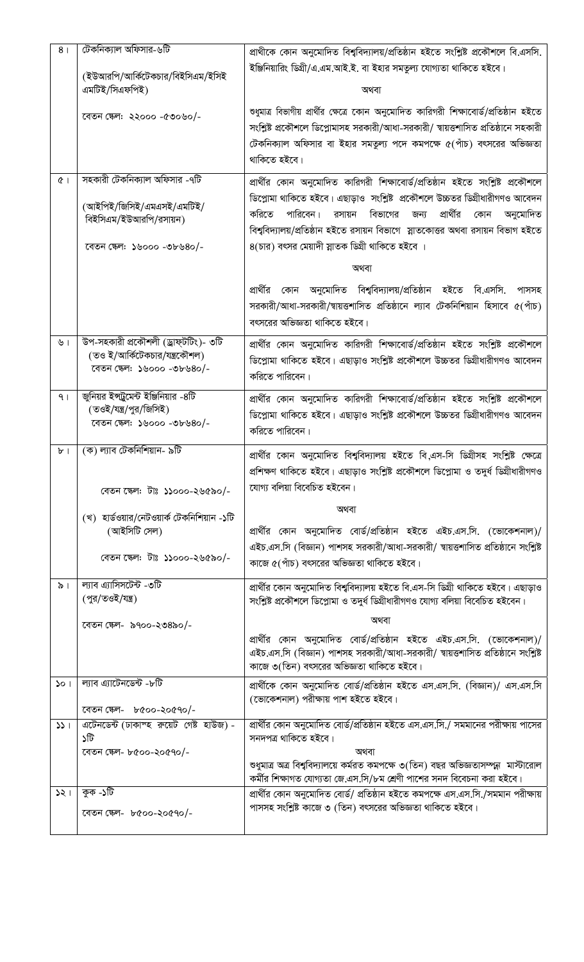| 8 <sub>1</sub>                   | টেকনিক্যাল অফিসার-৬টি                                                                                              | প্রাথীকে কোন অনুমোদিত বিশ্ববিদ্যালয়/প্রতিষ্ঠান হইতে সংশ্লিষ্ট প্রকৌশলে বি.এসসি.                                                                                                                                                                                                                                                                                                                                                                                                                                                                      |
|----------------------------------|--------------------------------------------------------------------------------------------------------------------|-------------------------------------------------------------------------------------------------------------------------------------------------------------------------------------------------------------------------------------------------------------------------------------------------------------------------------------------------------------------------------------------------------------------------------------------------------------------------------------------------------------------------------------------------------|
|                                  | (ইউআরপি/আর্কিটেকচার/বিইসিএম/ইসিই<br>এমটিই/সিএফপিই)                                                                 | ইঞ্জিনিয়ারিং ডিগ্রী/এ.এম.আই.ই. বা ইহার সমতুল্য যোগ্যতা থাকিতে হইবে।<br>অথবা                                                                                                                                                                                                                                                                                                                                                                                                                                                                          |
|                                  | বেতন ক্ষেল: ২২০০০ -৫৩০৬০/-                                                                                         | শুধুমাত্র বিভাগীয় প্রার্থীর ক্ষেত্রে কোন অনুমোদিত কারিগরী শিক্ষাবোর্ড/প্রতিষ্ঠান হইতে<br>সংশ্লিষ্ট প্রকৌশলে ডিপ্লোমাসহ সরকারী/আধা-সরকারী/ স্বায়ত্তশাসিত প্রতিষ্ঠানে সহকারী<br>টেকনিক্যাল অফিসার বা ইহার সমতুল্য পদে কমপক্ষে ৫(পাঁচ) বৎসরের অভিজ্ঞতা<br>থাকিতে হইবে।                                                                                                                                                                                                                                                                                 |
| Q <sub>1</sub>                   | সহকারী টেকনিক্যাল অফিসার -৭টি<br>(আইপিই/জিসিই/এমএসই/এমটিই/<br>বিইসিএম/ইউআরপি/রসায়ন)<br>রেতন ক্ষেল: ১৬০০০ -৩৮৬৪০/- | প্রার্থীর কোন অনুমোদিত কারিগরী শিক্ষাবোর্ড/প্রতিষ্ঠান হইতে সংশ্লিষ্ট প্রকৌশলে<br>ডিপ্লোমা থাকিতে হইবে। এছাড়াও সংশ্লিষ্ট প্রকৌশলে উচ্চতর ডিগ্রীধারীগণও আবেদন<br>প্রার্থীর<br>করিতে<br>পারিবেন।<br>রসায়ন বিভাগের<br>জন্য<br>কোন<br>অনুমোদিত<br>বিশ্ববিদ্যালয়/প্রতিষ্ঠান হইতে রসায়ন বিভাগে স্লাতকোত্তর অথবা রসায়ন বিভাগ হইতে<br>৪(চার) বৎসর মেয়াদী স্নাতক ডিগ্রী থাকিতে হইবে ।<br>অথবা<br>প্রার্থীর কোন অনুমোদিত বিশ্ববিদ্যালয়/প্রতিষ্ঠান হইতে বি.এসসি.<br>পাসসহ<br>সরকারী/আধা-সরকারী/স্বায়ত্তশাসিত প্রতিষ্ঠানে ল্যাব টেকনিশিয়ান হিসাবে ৫(পাঁচ) |
| ৬।                               | উপ-সহকারী প্রকৌশলী (ড্রাফ্টটিং)- ৩টি<br>(তও ই/আর্কিটেকচার/যন্ত্রকৌশল)<br>রেতন ক্ষেল: ১৬০০০ -৩৮৬৪০/-                | বৎসরের অভিজ্ঞতা থাকিতে হইবে।<br>প্রার্থীর কোন অনুমোদিত কারিগরী শিক্ষাবোর্ড/প্রতিষ্ঠান হইতে সংশ্লিষ্ট প্রকৌশলে<br>ডিপ্লোমা থাকিতে হইবে। এছাড়াও সংশ্লিষ্ট প্রকৌশলে উচ্চতর ডিগ্রীধারীগণও আবেদন<br>করিতে পারিবেন।                                                                                                                                                                                                                                                                                                                                        |
| 9 <sub>1</sub>                   | জুনিয়র ইন্সট্রুমেন্ট ইঞ্জিনিয়ার -৪টি<br>(তওই/যন্ত্র/পুর/জিসিই)<br>বেতন ক্ষেল: ১৬০০০ -৩৮৬৪০/-                     | প্রার্থীর কোন অনুমোদিত কারিগরী শিক্ষাবোর্ড/প্রতিষ্ঠান হইতে সংশ্লিষ্ট প্রকৌশলে<br>ডিপ্লোমা থাকিতে হইবে। এছাড়াও সংশ্লিষ্ট প্রকৌশলে উচ্চতর ডিগ্রীধারীগণও আবেদন<br>করিতে পারিবেন।                                                                                                                                                                                                                                                                                                                                                                        |
| $b$ <sup><math>\mid</math></sup> | (ক) ল্যাব টেকনিশিয়ান- ৯টি<br>বেতন ক্ষেল: টাঃ ১১০০০-২৬৫৯০/-                                                        | প্রার্থীর কোন অনুমোদিত বিশ্ববিদ্যালয় হইতে বি,এস-সি ডিগ্রীসহ সংশ্লিষ্ট ক্ষেত্রে<br>প্রশিক্ষণ থাকিতে হইবে। এছাড়াও সংশ্লিষ্ট প্রকৌশলে ডিপ্লোমা ও তদুর্ধ ডিগ্রীধারীগণও<br>যোগ্য বলিয়া বিবেচিত হইবেন।                                                                                                                                                                                                                                                                                                                                                   |
|                                  | (খ)  হার্ডওয়ার/নেটওয়ার্ক টেকনিশিয়ান -১টি<br>(আইসিটি সেল)<br>বেতন ক্ষেল: টাঃ ১১০০০-২৬৫৯০/-                       | অথবা<br>প্রার্থীর কোন অনুমোদিত বোর্ড/প্রতিষ্ঠান হইতে এইচ.এস.সি. (ভোকেশনাল)/<br>এইচ.এস.সি (বিজ্ঞান) পাশসহ সরকারী/আধা-সরকারী/ স্বায়ত্তশাসিত প্রতিষ্ঠানে সংশ্লিষ্ট<br>কাজে ৫(পাঁচ) বৎসরের অভিজ্ঞতা থাকিতে হইবে।                                                                                                                                                                                                                                                                                                                                         |
| $\delta$                         | ল্যাব এ্যাসিসটেন্ট -৩টি<br>(পুর/তওই/যন্ত্র)<br>বেতন ক্ষেল- ৯৭০০-২৩৪৯০/-                                            | প্রার্থীর কোন অনুমোদিত বিশ্ববিদ্যালয় হইতে বি.এস-সি ডিগ্রী থাকিতে হইবে। এছাড়াও<br>সংশ্লিষ্ট প্রকৌশলে ডিপ্লোমা ও তদুর্ধ ডিগ্রীধারীগণও যোগ্য বলিয়া বিবেচিত হইবেন।<br>অথবা<br>প্রার্থীর কোন অনুমোদিত বোর্ড/প্রতিষ্ঠান হইতে এইচ.এস.সি. (ভোকেশনাল)/<br>এইচ.এস.সি (বিজ্ঞান) পাশসহ সরকারী/আধা-সরকারী/ স্বায়ত্তশাসিত প্রতিষ্ঠানে সংশ্লিষ্ট<br>কাজে ৩(তিন) বৎসরের অভিজ্ঞতা থাকিতে হইবে।                                                                                                                                                                     |
| 501                              | ল্যাব এ্যাটেনডেন্ট -৮টি<br>বেতন ক্ষেল- ৮৫০০-২০৫৭০/-                                                                | প্রার্থীকে কোন অনুমোদিত বোর্ড/প্রতিষ্ঠান হইতে এস.এস.সি. (বিজ্ঞান)/ এস.এস.সি<br>(ভোকেশনাল) পরীক্ষায় পাশ হইতে হইবে।                                                                                                                                                                                                                                                                                                                                                                                                                                    |
| 331                              | এটেনডেন্ট (ঢাকাস্হ রুয়েট গেষ্ট হাউজ) -<br>১টি<br>বেতন ক্ষেল- ৮৫০০-২০৫৭০/-                                         | প্রার্থীর কোন অনুমোদিত বোর্ড/প্রতিষ্ঠান হইতে এস.এস.সি./ সমমানের পরীক্ষায় পাসের<br>সনদপত্র থাকিতে হইবে।<br>অথবা<br>ণ্ডধুমাত্র অত্র বিশ্ববিদ্যালয়ে কর্মরত কমপক্ষে ৩(তিন) বছর অভিজ্ঞতাসম্পন্ন মাস্টারোল<br>কর্মীর শিক্ষাগত যোগ্যতা জে.এস.সি/৮ম শ্রেণী পাশের সনদ বিবেচনা করা হইবে।                                                                                                                                                                                                                                                                      |
| 321                              | কুক -১টি<br>বেতন ক্ষেল- ৮৫০০-২০৫৭০/-                                                                               | প্রার্থীর কোন অনুমোদিত বোর্ড/ প্রতিষ্ঠান হইতে কমপক্ষে এস.এস.সি./সমমান পরীক্ষায়<br>পাসসহ সংশ্লিষ্ট কাজে ৩ (তিন) বৎসরের অভিজ্ঞতা থাকিতে হইবে।                                                                                                                                                                                                                                                                                                                                                                                                          |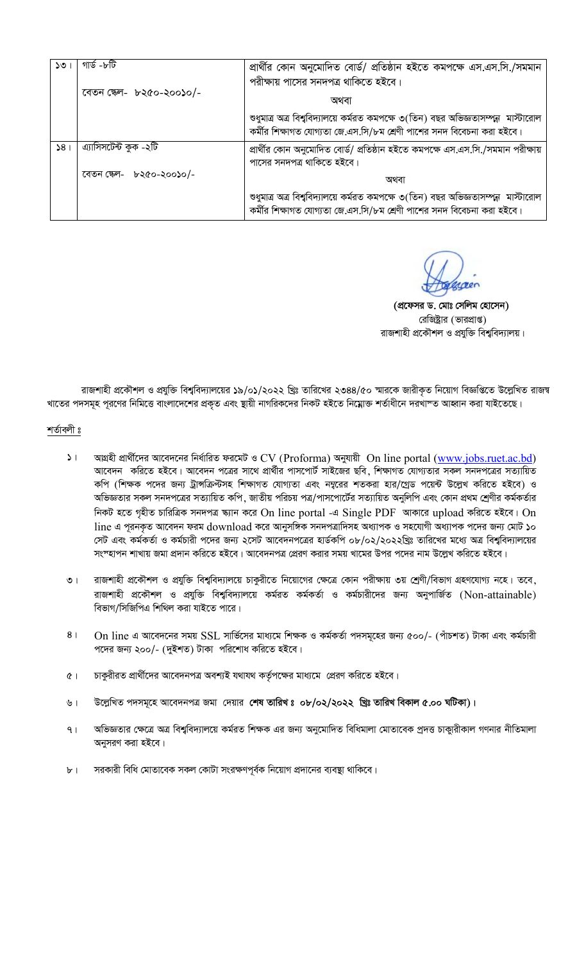| ১৩              | গাৰ্ড -৮টি               | প্রার্থীর কোন অনুমোদিত বোর্ড/ প্রতিষ্ঠান হইতে কমপক্ষে এস.এস.সি./সমমান                                                                                        |
|-----------------|--------------------------|--------------------------------------------------------------------------------------------------------------------------------------------------------------|
|                 | বেতন ক্ষেল- ৮২৫০-২০০১০/- | পরীক্ষায় পাসের সনদপত্র থাকিতে হইবে।                                                                                                                         |
|                 |                          | অথবা                                                                                                                                                         |
|                 |                          | শুধুমাত্র অত্র বিশ্ববিদ্যালয়ে কর্মরত কমপক্ষে ৩(তিন) বছর অভিজ্ঞতাসম্পন্ন মাস্টারোল<br>কর্মীর শিক্ষাগত যোগ্যতা জে.এস.সি/৮ম শ্রেণী পাশের সনদ বিবেচনা করা হইবে। |
| 58 <sub>1</sub> | এ্যাসিসটেন্ট কুক -২টি    | প্রার্থীর কোন অনুমোদিত বোর্ড/ প্রতিষ্ঠান হইতে কমপক্ষে এস.এস.সি./সমমান পরীক্ষায়                                                                              |
|                 |                          | পাসের সনদপত্র থাকিতে হইবে।                                                                                                                                   |
|                 | বেতন ক্ষেল- ৮২৫০-২০০১০/- | অথবা                                                                                                                                                         |
|                 |                          | শুধুমাত্র অত্র বিশ্ববিদ্যালয়ে কর্মরত কমপক্ষে ৩(তিন) বছর অভিজ্ঞতাসম্পন্ন মাস্টারোল<br>কর্মীর শিক্ষাগত যোগ্যতা জে.এস.সি/৮ম শ্রেণী পাশের সনদ বিবেচনা করা হইবে। |

(প্রফেসর ড. মোঃ সেলিম হোসেন) রেজিষ্ট্রার (ভারপ্রাপ্ত) রাজশাহী প্রকৌশল ও প্রযুক্তি বিশ্ববিদ্যালয়।

রাজশাহী প্রকৌশল ও প্রযুক্তি বিশ্ববিদ্যালয়ের ১৯/০১/২০২২ খ্রিঃ তারিখের ২৩৪৪/৫০ স্মারকে জারীকৃত নিয়োগ বিজ্ঞপ্তিত উল্লেখিত রাজম্ব খাতের পদসমূহ পূরণের নিমিত্তে বাংলাদেশের প্রকৃত এবং স্থায়ী নাগরিকদের নিকট হইতে নিম্নোক্ত শর্তাধীনে দরখাস্ত আহ্বান করা যাইতেছে।

## শৰ্তাবলী ঃ

- আগ্রহী প্রার্থীদের আবেদনের নির্ধারিত ফরমেট ও CV (Proforma) অনুযায়ী On line portal (www.jobs.ruet.ac.bd)  $5<sub>1</sub>$ আবেদন করিতে হইবে। আবেদন পত্রের সাথে প্রার্থীর পাসপোর্ট সাইজের ছবি, শিক্ষাগত যোগ্যতার সকল সনদপত্রের সত্যায়িত কপি (শিক্ষক পদের জন্য ট্রান্সক্রিস্টসহ শিক্ষাগত যোগ্যতা এবং নম্বরের শতকরা হার/গ্রেড পয়েন্ট উল্লেখ করিতে হইবে) ও অভিজ্ঞতার সকল সনদপত্রের সত্যায়িত কপি, জাতীয় পরিচয় পত্র/পাসপোর্টের সত্যায়িত অনুলিপি এবং কোন প্রথম শ্রেণীর কর্মকর্তার নিকট হতে গৃহীত চারিত্রিক সনদপত্র স্ক্যান করে On line portal -এ Single PDF আকারে upload করিতে হইবে। On line এ পূরনকৃত আবেদন ফরম  $download$  করে আনুসঙ্গিক সনদপত্রাদিসহ অধ্যাপক ও সহযোগী অধ্যাপক পদের জন্য মোট ১০ সেট এবং কর্মকর্তা ও কর্মচারী পদের জন্য ২সেট আবেদনপত্রের হার্ডকপি ০৮/০২/২০২২খ্রিঃ তারিখের মধ্যে অত্র বিশ্ববিদ্যালয়ের সংস্হাপন শাখায় জমা প্রদান করিতে হইবে। আবেদনপত্র প্রেরণ করার সময় খামের উপর পদের নাম উল্লেখ করিতে হইবে।
- রাজশাহী প্রকৌশল ও প্রযুক্তি বিশ্ববিদ্যালয়ে চাকুরীতে নিয়োগের ক্ষেত্রে কোন পরীক্ষায় ৩য় শ্রেণী/বিভাগ গ্রহণযোগ্য নহে। তবে,  $\overline{0}$ রাজশাহী প্রকৌশল ও প্রযুক্তি বিশ্ববিদ্যালয়ে কর্মরত কর্মকর্তা ও কর্মচারীদের জন্য অনুপার্জিত (Non-attainable) বিভাগ/সিজিপিএ শিথিল করা যাইতে পারে।
- $8<sub>1</sub>$ On line এ আবেদনের সময় SSL সার্ভিসের মাধ্যমে শিক্ষক ও কর্মকর্তা পদসমূহের জন্য ৫০০/- (পাঁচশত) টাকা এবং কর্মচারী পদের জন্য ২০০/- (দুইশত) টাকা পরিশোধ করিতে হইবে।
- চাকুরীরত প্রার্থীদের আবেদনপত্র অবশ্যই যথাযথ কর্তৃপক্ষের মাধ্যমে প্রেরণ করিতে হইবে।  $Q$
- উল্লেখিত পদসমূহে আবেদনপত্র জমা দেয়ার শেষ তারিখঃ ০৮/০২/২০২২ খ্রিঃ তারিখ বিকাল ৫.০০ ঘটিকা)। ৬।
- অভিজ্ঞতার ক্ষেত্রে অত্র বিশ্ববিদ্যালয়ে কর্মরত শিক্ষক এর জন্য অনুমোদিত বিধিমালা মোতাবেক প্রদত্ত চাকুারীকাল গণনার নীতিমালা  $9<sub>1</sub>$ অনুসরণ করা হইবে।
- $b<sub>1</sub>$ সরকারী বিধি মোতাবেক সকল কোটা সংরক্ষণপূর্বক নিয়োগ প্রদানের ব্যবস্থা থাকিবে।